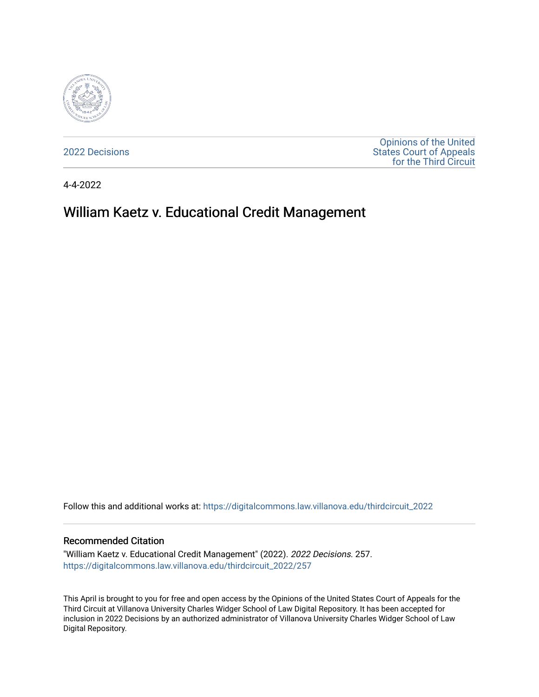

[2022 Decisions](https://digitalcommons.law.villanova.edu/thirdcircuit_2022)

[Opinions of the United](https://digitalcommons.law.villanova.edu/thirdcircuit)  [States Court of Appeals](https://digitalcommons.law.villanova.edu/thirdcircuit)  [for the Third Circuit](https://digitalcommons.law.villanova.edu/thirdcircuit) 

4-4-2022

# William Kaetz v. Educational Credit Management

Follow this and additional works at: [https://digitalcommons.law.villanova.edu/thirdcircuit\\_2022](https://digitalcommons.law.villanova.edu/thirdcircuit_2022?utm_source=digitalcommons.law.villanova.edu%2Fthirdcircuit_2022%2F257&utm_medium=PDF&utm_campaign=PDFCoverPages) 

#### Recommended Citation

"William Kaetz v. Educational Credit Management" (2022). 2022 Decisions. 257. [https://digitalcommons.law.villanova.edu/thirdcircuit\\_2022/257](https://digitalcommons.law.villanova.edu/thirdcircuit_2022/257?utm_source=digitalcommons.law.villanova.edu%2Fthirdcircuit_2022%2F257&utm_medium=PDF&utm_campaign=PDFCoverPages)

This April is brought to you for free and open access by the Opinions of the United States Court of Appeals for the Third Circuit at Villanova University Charles Widger School of Law Digital Repository. It has been accepted for inclusion in 2022 Decisions by an authorized administrator of Villanova University Charles Widger School of Law Digital Repository.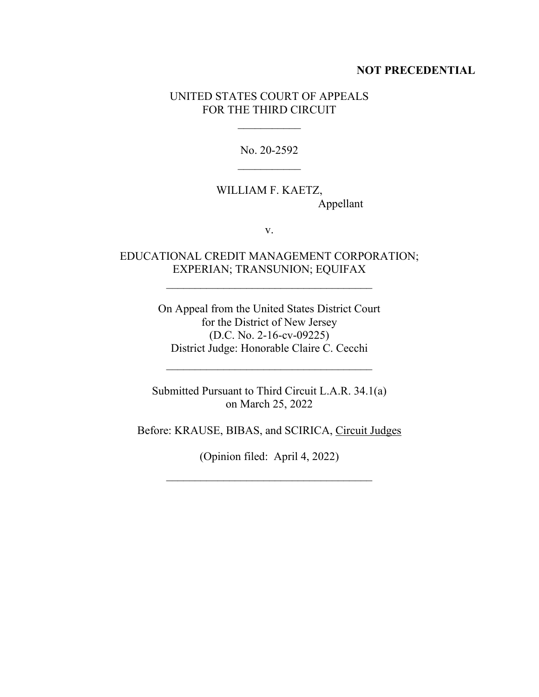### **NOT PRECEDENTIAL**

### UNITED STATES COURT OF APPEALS FOR THE THIRD CIRCUIT

No. 20-2592

## WILLIAM F. KAETZ, Appellant

v.

### EDUCATIONAL CREDIT MANAGEMENT CORPORATION; EXPERIAN; TRANSUNION; EQUIFAX

On Appeal from the United States District Court for the District of New Jersey (D.C. No. 2-16-cv-09225) District Judge: Honorable Claire C. Cecchi

 $\mathcal{L}_\text{max}$ 

Submitted Pursuant to Third Circuit L.A.R. 34.1(a) on March 25, 2022

Before: KRAUSE, BIBAS, and SCIRICA, Circuit Judges

(Opinion filed: April 4, 2022)

 $\mathcal{L}_\text{max}$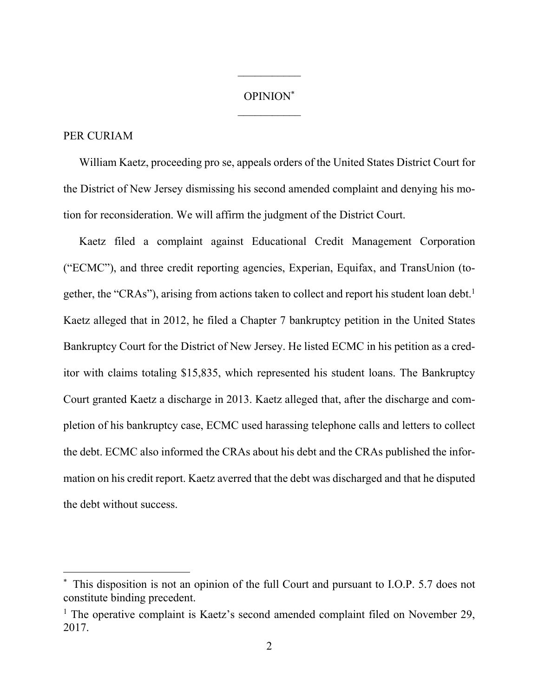#### OPINION\*

 $\frac{1}{2}$ 

### PER CURIAM

William Kaetz, proceeding pro se, appeals orders of the United States District Court for the District of New Jersey dismissing his second amended complaint and denying his motion for reconsideration. We will affirm the judgment of the District Court.

Kaetz filed a complaint against Educational Credit Management Corporation ("ECMC"), and three credit reporting agencies, Experian, Equifax, and TransUnion (together, the "CRAs"), arising from actions taken to collect and report his student loan debt.<sup>1</sup> Kaetz alleged that in 2012, he filed a Chapter 7 bankruptcy petition in the United States Bankruptcy Court for the District of New Jersey. He listed ECMC in his petition as a creditor with claims totaling \$15,835, which represented his student loans. The Bankruptcy Court granted Kaetz a discharge in 2013. Kaetz alleged that, after the discharge and completion of his bankruptcy case, ECMC used harassing telephone calls and letters to collect the debt. ECMC also informed the CRAs about his debt and the CRAs published the information on his credit report. Kaetz averred that the debt was discharged and that he disputed the debt without success.

This disposition is not an opinion of the full Court and pursuant to I.O.P. 5.7 does not constitute binding precedent.

<sup>&</sup>lt;sup>1</sup> The operative complaint is Kaetz's second amended complaint filed on November 29, 2017.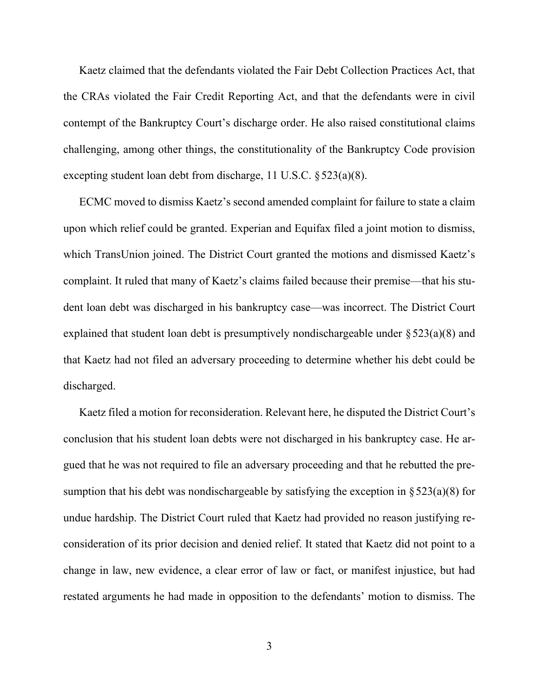Kaetz claimed that the defendants violated the Fair Debt Collection Practices Act, that the CRAs violated the Fair Credit Reporting Act, and that the defendants were in civil contempt of the Bankruptcy Court's discharge order. He also raised constitutional claims challenging, among other things, the constitutionality of the Bankruptcy Code provision excepting student loan debt from discharge, 11 U.S.C. §523(a)(8).

ECMC moved to dismiss Kaetz's second amended complaint for failure to state a claim upon which relief could be granted. Experian and Equifax filed a joint motion to dismiss, which TransUnion joined. The District Court granted the motions and dismissed Kaetz's complaint. It ruled that many of Kaetz's claims failed because their premise—that his student loan debt was discharged in his bankruptcy case—was incorrect. The District Court explained that student loan debt is presumptively nondischargeable under §523(a)(8) and that Kaetz had not filed an adversary proceeding to determine whether his debt could be discharged.

Kaetz filed a motion for reconsideration. Relevant here, he disputed the District Court's conclusion that his student loan debts were not discharged in his bankruptcy case. He argued that he was not required to file an adversary proceeding and that he rebutted the presumption that his debt was nondischargeable by satisfying the exception in  $\S 523(a)(8)$  for undue hardship. The District Court ruled that Kaetz had provided no reason justifying reconsideration of its prior decision and denied relief. It stated that Kaetz did not point to a change in law, new evidence, a clear error of law or fact, or manifest injustice, but had restated arguments he had made in opposition to the defendants' motion to dismiss. The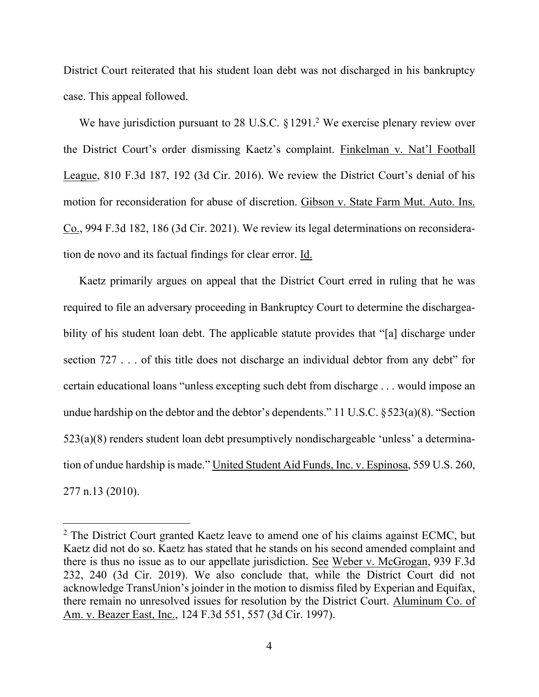District Court reiterated that his student loan debt was not discharged in his bankruptcy case. This appeal followed.

We have jurisdiction pursuant to 28 U.S.C.  $\S 1291$ .<sup>2</sup> We exercise plenary review over the District Court's order dismissing Kaetz's complaint. Finkelman v. Nat'l Football League, 810 F.3d 187, 192 (3d Cir. 2016). We review the District Court's denial of his motion for reconsideration for abuse of discretion. Gibson v. State Farm Mut. Auto. Ins. Co., 994 F.3d 182, 186 (3d Cir. 2021). We review its legal determinations on reconsideration de novo and its factual findings for clear error. Id.

Kaetz primarily argues on appeal that the District Court erred in ruling that he was required to file an adversary proceeding in Bankruptcy Court to determine the dischargeability of his student loan debt. The applicable statute provides that "[a] discharge under section 727 . . . of this title does not discharge an individual debtor from any debt" for certain educational loans "unless excepting such debt from discharge . . . would impose an undue hardship on the debtor and the debtor's dependents." 11 U.S.C. §523(a)(8). "Section 523(a)(8) renders student loan debt presumptively nondischargeable 'unless' a determination of undue hardship is made." United Student Aid Funds, Inc. v. Espinosa, 559 U.S. 260, 277 n.13 (2010).

 $2$  The District Court granted Kaetz leave to amend one of his claims against ECMC, but Kaetz did not do so. Kaetz has stated that he stands on his second amended complaint and there is thus no issue as to our appellate jurisdiction. See Weber v. McGrogan, 939 F.3d 232, 240 (3d Cir. 2019). We also conclude that, while the District Court did not acknowledge TransUnion's joinder in the motion to dismiss filed by Experian and Equifax, there remain no unresolved issues for resolution by the District Court. Aluminum Co. of Am. v. Beazer East, Inc., 124 F.3d 551, 557 (3d Cir. 1997).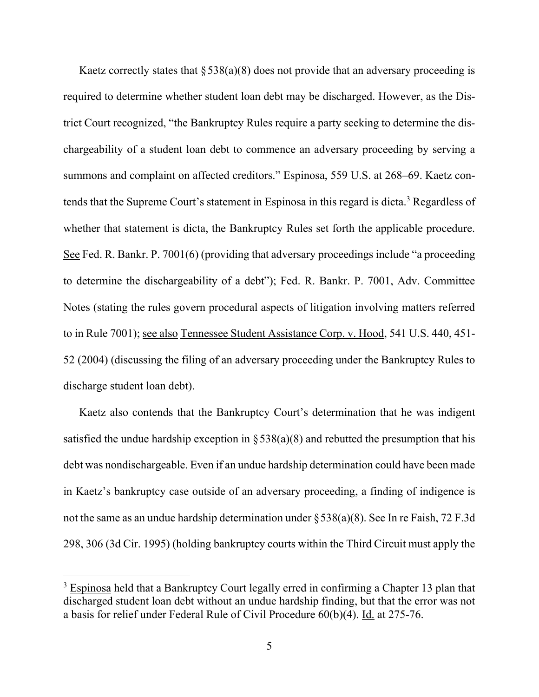Kaetz correctly states that  $\S 538(a)(8)$  does not provide that an adversary proceeding is required to determine whether student loan debt may be discharged. However, as the District Court recognized, "the Bankruptcy Rules require a party seeking to determine the dischargeability of a student loan debt to commence an adversary proceeding by serving a summons and complaint on affected creditors." Espinosa, 559 U.S. at 268–69. Kaetz contends that the Supreme Court's statement in Espinosa in this regard is dicta.<sup>3</sup> Regardless of whether that statement is dicta, the Bankruptcy Rules set forth the applicable procedure. See Fed. R. Bankr. P. 7001(6) (providing that adversary proceedings include "a proceeding to determine the dischargeability of a debt"); Fed. R. Bankr. P. 7001, Adv. Committee Notes (stating the rules govern procedural aspects of litigation involving matters referred to in Rule 7001); see also Tennessee Student Assistance Corp. v. Hood, 541 U.S. 440, 451- 52 (2004) (discussing the filing of an adversary proceeding under the Bankruptcy Rules to discharge student loan debt).

Kaetz also contends that the Bankruptcy Court's determination that he was indigent satisfied the undue hardship exception in  $\S 538(a)(8)$  and rebutted the presumption that his debt was nondischargeable. Even if an undue hardship determination could have been made in Kaetz's bankruptcy case outside of an adversary proceeding, a finding of indigence is not the same as an undue hardship determination under §538(a)(8). See In re Faish, 72 F.3d 298, 306 (3d Cir. 1995) (holding bankruptcy courts within the Third Circuit must apply the

<sup>&</sup>lt;sup>3</sup> Espinosa held that a Bankruptcy Court legally erred in confirming a Chapter 13 plan that discharged student loan debt without an undue hardship finding, but that the error was not a basis for relief under Federal Rule of Civil Procedure 60(b)(4). Id. at 275-76.